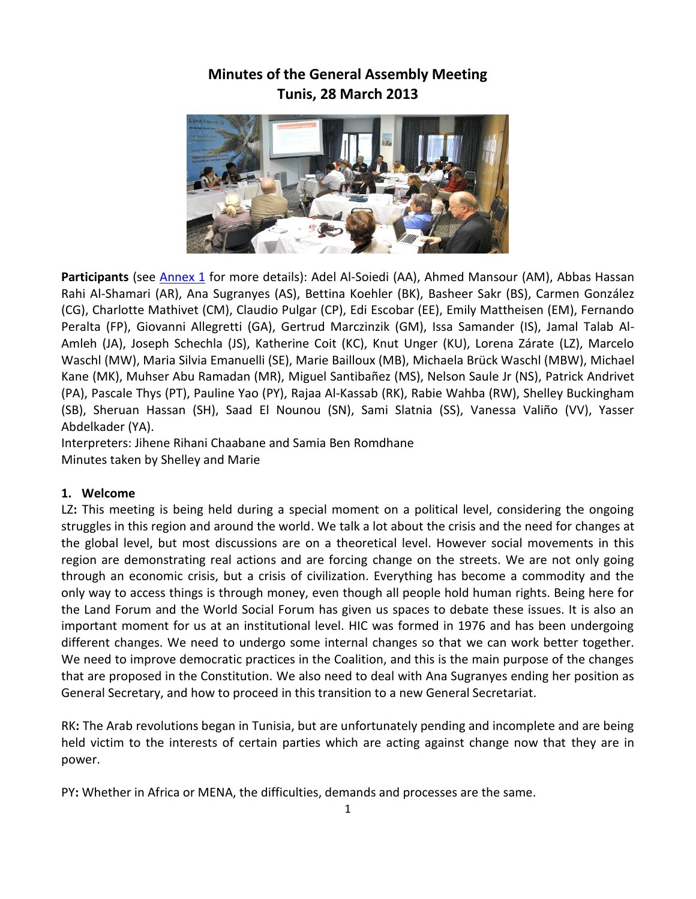# **Minutes of the General Assembly Meeting Tunis, 28 March 2013**



Participants (see [Annex 1](http://hic-net.org/content/materiales_marie/participants_ga2013_28032013.pdf) for more details): Adel Al-Soiedi (AA), Ahmed Mansour (AM), Abbas Hassan Rahi Al-Shamari (AR), Ana Sugranyes (AS), Bettina Koehler (BK), Basheer Sakr (BS), Carmen González (CG), Charlotte Mathivet (CM), Claudio Pulgar (CP), Edi Escobar (EE), Emily Mattheisen (EM), Fernando Peralta (FP), Giovanni Allegretti (GA), Gertrud Marczinzik (GM), Issa Samander (IS), Jamal Talab Al-Amleh (JA), Joseph Schechla (JS), Katherine Coit (KC), Knut Unger (KU), Lorena Zárate (LZ), Marcelo Waschl (MW), Maria Silvia Emanuelli (SE), Marie Bailloux (MB), Michaela Brück Waschl (MBW), Michael Kane (MK), Muhser Abu Ramadan (MR), Miguel Santibañez (MS), Nelson Saule Jr (NS), Patrick Andrivet (PA), Pascale Thys (PT), Pauline Yao (PY), Rajaa Al-Kassab (RK), Rabie Wahba (RW), Shelley Buckingham (SB), Sheruan Hassan (SH), Saad El Nounou (SN), Sami Slatnia (SS), Vanessa Valiño (VV), Yasser Abdelkader (YA).

Interpreters: Jihene Rihani Chaabane and Samia Ben Romdhane Minutes taken by Shelley and Marie

## **1. Welcome**

LZ**:** This meeting is being held during a special moment on a political level, considering the ongoing struggles in this region and around the world. We talk a lot about the crisis and the need for changes at the global level, but most discussions are on a theoretical level. However social movements in this region are demonstrating real actions and are forcing change on the streets. We are not only going through an economic crisis, but a crisis of civilization. Everything has become a commodity and the only way to access things is through money, even though all people hold human rights. Being here for the Land Forum and the World Social Forum has given us spaces to debate these issues. It is also an important moment for us at an institutional level. HIC was formed in 1976 and has been undergoing different changes. We need to undergo some internal changes so that we can work better together. We need to improve democratic practices in the Coalition, and this is the main purpose of the changes that are proposed in the Constitution. We also need to deal with Ana Sugranyes ending her position as General Secretary, and how to proceed in this transition to a new General Secretariat.

RK**:** The Arab revolutions began in Tunisia, but are unfortunately pending and incomplete and are being held victim to the interests of certain parties which are acting against change now that they are in power.

PY**:** Whether in Africa or MENA, the difficulties, demands and processes are the same.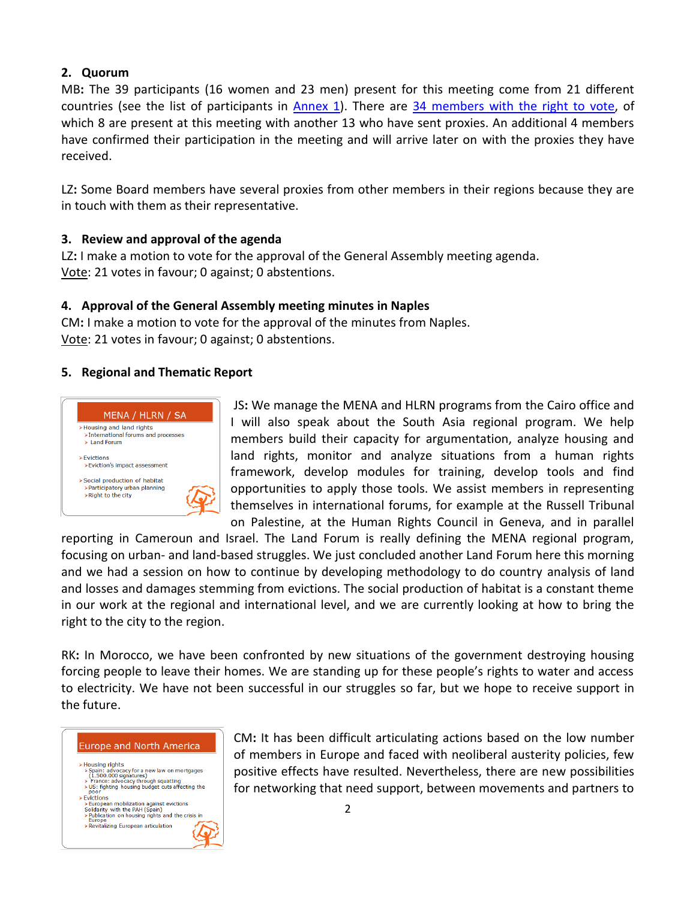# **2. Quorum**

MB**:** The 39 participants (16 women and 23 men) present for this meeting come from 21 different countries (see the list of participants in [Annex 1\)](http://hic-net.org/content/materiales_marie/participants_ga2013_28032013.pdf). There are 34 [members with the right to vote,](http://hic-net.org/content/materiales_marie/hic_members_rtv_28032013.pdf) of which 8 are present at this meeting with another 13 who have sent proxies. An additional 4 members have confirmed their participation in the meeting and will arrive later on with the proxies they have received.

LZ**:** Some Board members have several proxies from other members in their regions because they are in touch with them as their representative.

# **3. Review and approval of the agenda**

LZ**:** I make a motion to vote for the approval of the General Assembly meeting agenda. Vote: 21 votes in favour; 0 against; 0 abstentions.

# **4. Approval of the General Assembly meeting minutes in Naples**

CM**:** I make a motion to vote for the approval of the minutes from Naples. Vote: 21 votes in favour; 0 against; 0 abstentions.

# **5. Regional and Thematic Report**



JS**:** We manage the MENA and HLRN programs from the Cairo office and I will also speak about the South Asia regional program. We help members build their capacity for argumentation, analyze housing and land rights, monitor and analyze situations from a human rights framework, develop modules for training, develop tools and find opportunities to apply those tools. We assist members in representing themselves in international forums, for example at the Russell Tribunal on Palestine, at the Human Rights Council in Geneva, and in parallel

reporting in Cameroun and Israel. The Land Forum is really defining the MENA regional program, focusing on urban- and land-based struggles. We just concluded another Land Forum here this morning and we had a session on how to continue by developing methodology to do country analysis of land and losses and damages stemming from evictions. The social production of habitat is a constant theme in our work at the regional and international level, and we are currently looking at how to bring the right to the city to the region.

RK**:** In Morocco, we have been confronted by new situations of the government destroying housing forcing people to leave their homes. We are standing up for these people's rights to water and access to electricity. We have not been successful in our struggles so far, but we hope to receive support in the future.

## **Europe and North America**

Housing rights<br>
≻ Spain: advocacy for a new law on mortgages<br>
(1.500.000 signatures)<br>
→ France: advocacy through squatting<br>
→ Door fhing housing budget cuts affecting the<br>
Door fhing housing budget cuts affecting the<br>
Do > Housing rights  $\triangleright$  Evictions Evictions<br>  $\triangleright$  European mobilization against evictions<br>
Solidarity with the PAH (Spain)<br>  $\triangleright$  Publication on housing rights and the crisis in<br>
Europe<br>  $\triangleright$  Revitalizing European articulation

CM**:** It has been difficult articulating actions based on the low number of members in Europe and faced with neoliberal austerity policies, few positive effects have resulted. Nevertheless, there are new possibilities for networking that need support, between movements and partners to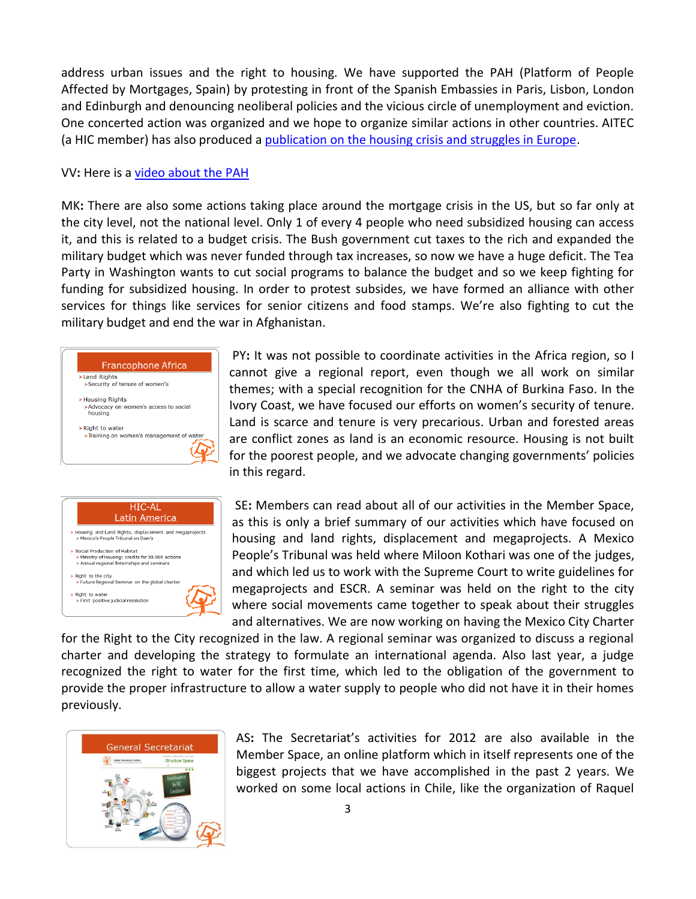address urban issues and the right to housing. We have supported the PAH (Platform of People Affected by Mortgages, Spain) by protesting in front of the Spanish Embassies in Paris, Lisbon, London and Edinburgh and denouncing neoliberal policies and the vicious circle of unemployment and eviction. One concerted action was organized and we hope to organize similar actions in other countries. AITEC (a HIC member) has also produced a [publication on the housing crisis and struggles in Europe.](http://aitec.reseau-ipam.org/IMG/pdf/Passerelle_7_ENG-light.pdf)

#### VV**:** Here is a [video about the PAH](http://www.youtube.com/watch?v=Pqw3ifINh9c)

MK**:** There are also some actions taking place around the mortgage crisis in the US, but so far only at the city level, not the national level. Only 1 of every 4 people who need subsidized housing can access it, and this is related to a budget crisis. The Bush government cut taxes to the rich and expanded the military budget which was never funded through tax increases, so now we have a huge deficit. The Tea Party in Washington wants to cut social programs to balance the budget and so we keep fighting for funding for subsidized housing. In order to protest subsides, we have formed an alliance with other services for things like services for senior citizens and food stamps. We're also fighting to cut the military budget and end the war in Afghanistan.





PY**:** It was not possible to coordinate activities in the Africa region, so I cannot give a regional report, even though we all work on similar themes; with a special recognition for the CNHA of Burkina Faso. In the Ivory Coast, we have focused our efforts on women's security of tenure. Land is scarce and tenure is very precarious. Urban and forested areas are conflict zones as land is an economic resource. Housing is not built for the poorest people, and we advocate changing governments' policies in this regard.

SE**:** Members can read about all of our activities in the Member Space, as this is only a brief summary of our activities which have focused on housing and land rights, displacement and megaprojects. A Mexico People's Tribunal was held where Miloon Kothari was one of the judges, and which led us to work with the Supreme Court to write guidelines for megaprojects and ESCR. A seminar was held on the right to the city where social movements came together to speak about their struggles and alternatives. We are now working on having the Mexico City Charter

for the Right to the City recognized in the law. A regional seminar was organized to discuss a regional charter and developing the strategy to formulate an international agenda. Also last year, a judge recognized the right to water for the first time, which led to the obligation of the government to provide the proper infrastructure to allow a water supply to people who did not have it in their homes previously.



AS**:** The Secretariat's activities for 2012 are also available in the Member Space, an online platform which in itself represents one of the biggest projects that we have accomplished in the past 2 years. We worked on some local actions in Chile, like the organization of Raquel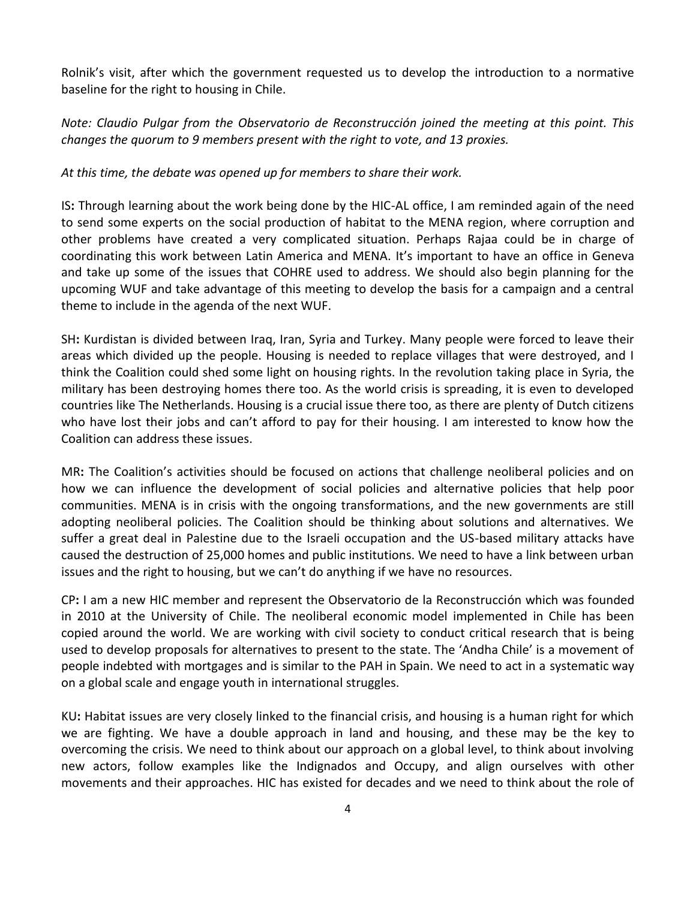Rolnik's visit, after which the government requested us to develop the introduction to a normative baseline for the right to housing in Chile.

*Note: Claudio Pulgar from the Observatorio de Reconstrucción joined the meeting at this point. This changes the quorum to 9 members present with the right to vote, and 13 proxies.*

### *At this time, the debate was opened up for members to share their work.*

IS**:** Through learning about the work being done by the HIC-AL office, I am reminded again of the need to send some experts on the social production of habitat to the MENA region, where corruption and other problems have created a very complicated situation. Perhaps Rajaa could be in charge of coordinating this work between Latin America and MENA. It's important to have an office in Geneva and take up some of the issues that COHRE used to address. We should also begin planning for the upcoming WUF and take advantage of this meeting to develop the basis for a campaign and a central theme to include in the agenda of the next WUF.

SH**:** Kurdistan is divided between Iraq, Iran, Syria and Turkey. Many people were forced to leave their areas which divided up the people. Housing is needed to replace villages that were destroyed, and I think the Coalition could shed some light on housing rights. In the revolution taking place in Syria, the military has been destroying homes there too. As the world crisis is spreading, it is even to developed countries like The Netherlands. Housing is a crucial issue there too, as there are plenty of Dutch citizens who have lost their jobs and can't afford to pay for their housing. I am interested to know how the Coalition can address these issues.

MR**:** The Coalition's activities should be focused on actions that challenge neoliberal policies and on how we can influence the development of social policies and alternative policies that help poor communities. MENA is in crisis with the ongoing transformations, and the new governments are still adopting neoliberal policies. The Coalition should be thinking about solutions and alternatives. We suffer a great deal in Palestine due to the Israeli occupation and the US-based military attacks have caused the destruction of 25,000 homes and public institutions. We need to have a link between urban issues and the right to housing, but we can't do anything if we have no resources.

CP**:** I am a new HIC member and represent the Observatorio de la Reconstrucción which was founded in 2010 at the University of Chile. The neoliberal economic model implemented in Chile has been copied around the world. We are working with civil society to conduct critical research that is being used to develop proposals for alternatives to present to the state. The 'Andha Chile' is a movement of people indebted with mortgages and is similar to the PAH in Spain. We need to act in a systematic way on a global scale and engage youth in international struggles.

KU**:** Habitat issues are very closely linked to the financial crisis, and housing is a human right for which we are fighting. We have a double approach in land and housing, and these may be the key to overcoming the crisis. We need to think about our approach on a global level, to think about involving new actors, follow examples like the Indignados and Occupy, and align ourselves with other movements and their approaches. HIC has existed for decades and we need to think about the role of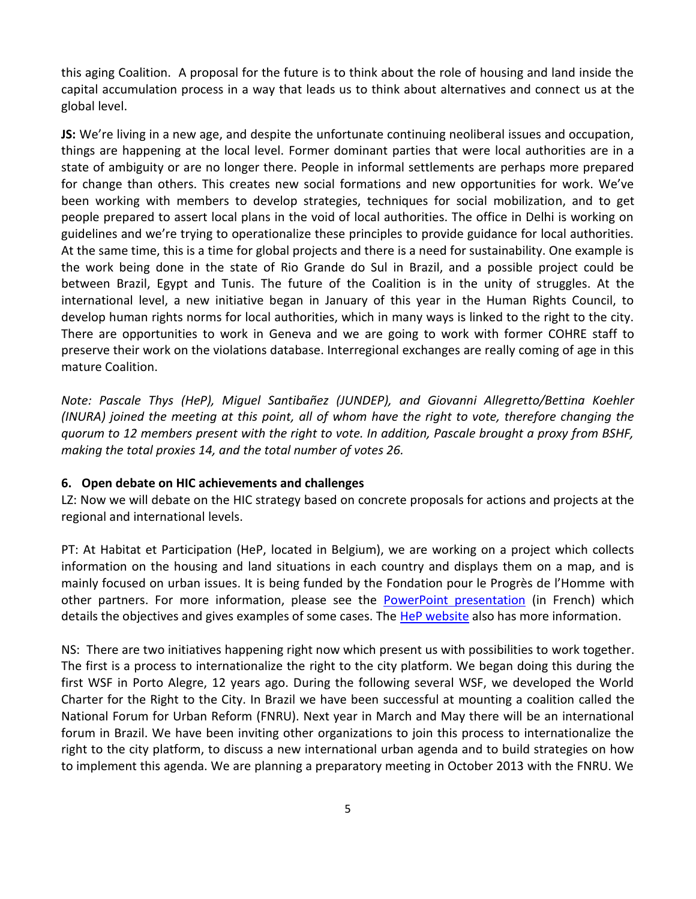this aging Coalition. A proposal for the future is to think about the role of housing and land inside the capital accumulation process in a way that leads us to think about alternatives and connect us at the global level.

**JS:** We're living in a new age, and despite the unfortunate continuing neoliberal issues and occupation, things are happening at the local level. Former dominant parties that were local authorities are in a state of ambiguity or are no longer there. People in informal settlements are perhaps more prepared for change than others. This creates new social formations and new opportunities for work. We've been working with members to develop strategies, techniques for social mobilization, and to get people prepared to assert local plans in the void of local authorities. The office in Delhi is working on guidelines and we're trying to operationalize these principles to provide guidance for local authorities. At the same time, this is a time for global projects and there is a need for sustainability. One example is the work being done in the state of Rio Grande do Sul in Brazil, and a possible project could be between Brazil, Egypt and Tunis. The future of the Coalition is in the unity of struggles. At the international level, a new initiative began in January of this year in the Human Rights Council, to develop human rights norms for local authorities, which in many ways is linked to the right to the city. There are opportunities to work in Geneva and we are going to work with former COHRE staff to preserve their work on the violations database. Interregional exchanges are really coming of age in this mature Coalition.

*Note: Pascale Thys (HeP), Miguel Santibañez (JUNDEP), and Giovanni Allegretto/Bettina Koehler (INURA) joined the meeting at this point, all of whom have the right to vote, therefore changing the quorum to 12 members present with the right to vote. In addition, Pascale brought a proxy from BSHF, making the total proxies 14, and the total number of votes 26.*

#### **6. Open debate on HIC achievements and challenges**

LZ: Now we will debate on the HIC strategy based on concrete proposals for actions and projects at the regional and international levels.

PT: At Habitat et Participation (HeP, located in Belgium), we are working on a project which collects information on the housing and land situations in each country and displays them on a map, and is mainly focused on urban issues. It is being funded by the Fondation pour le Progrès de l'Homme with other partners. For more information, please see the [PowerPoint presentation](http://www.hic-net.org/content/materiales_marie/expose_hep_ag2013.pps) (in French) which details the objectives and gives examples of some cases. The [HeP website](http://www.habitat-participation.be/habitat-urbain.html) also has more information.

NS: There are two initiatives happening right now which present us with possibilities to work together. The first is a process to internationalize the right to the city platform. We began doing this during the first WSF in Porto Alegre, 12 years ago. During the following several WSF, we developed the World Charter for the Right to the City. In Brazil we have been successful at mounting a coalition called the National Forum for Urban Reform (FNRU). Next year in March and May there will be an international forum in Brazil. We have been inviting other organizations to join this process to internationalize the right to the city platform, to discuss a new international urban agenda and to build strategies on how to implement this agenda. We are planning a preparatory meeting in October 2013 with the FNRU. We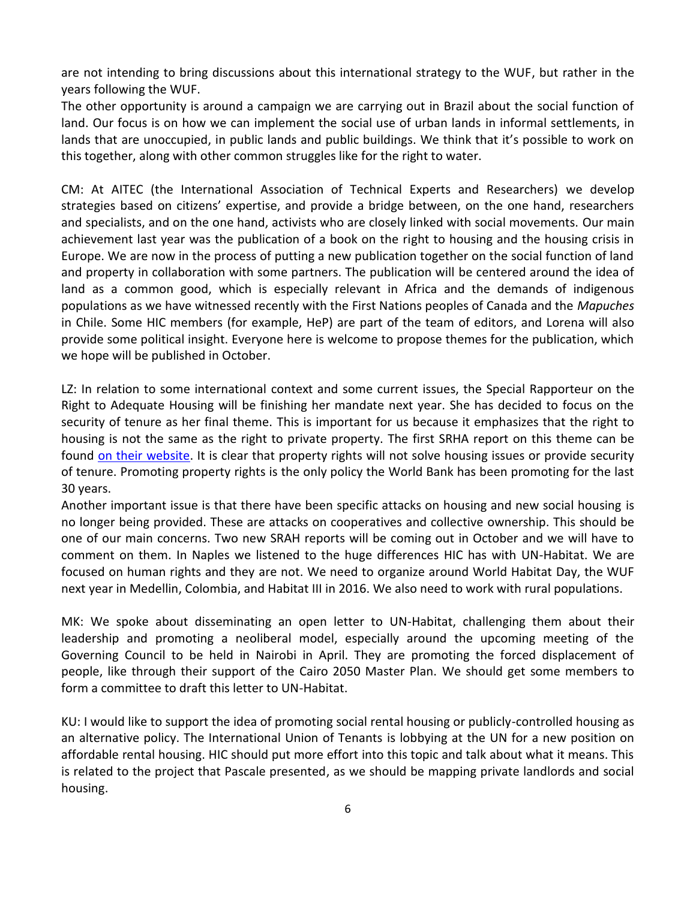are not intending to bring discussions about this international strategy to the WUF, but rather in the years following the WUF.

The other opportunity is around a campaign we are carrying out in Brazil about the social function of land. Our focus is on how we can implement the social use of urban lands in informal settlements, in lands that are unoccupied, in public lands and public buildings. We think that it's possible to work on this together, along with other common struggles like for the right to water.

CM: At AITEC (the International Association of Technical Experts and Researchers) we develop strategies based on citizens' expertise, and provide a bridge between, on the one hand, researchers and specialists, and on the one hand, activists who are closely linked with social movements. Our main achievement last year was the publication of a book on the right to housing and the housing crisis in Europe. We are now in the process of putting a new publication together on the social function of land and property in collaboration with some partners. The publication will be centered around the idea of land as a common good, which is especially relevant in Africa and the demands of indigenous populations as we have witnessed recently with the First Nations peoples of Canada and the *Mapuches* in Chile. Some HIC members (for example, HeP) are part of the team of editors, and Lorena will also provide some political insight. Everyone here is welcome to propose themes for the publication, which we hope will be published in October.

LZ: In relation to some international context and some current issues, the Special Rapporteur on the Right to Adequate Housing will be finishing her mandate next year. She has decided to focus on the security of tenure as her final theme. This is important for us because it emphasizes that the right to housing is not the same as the right to private property. The first SRHA report on this theme can be found [on their website.](http://direitoamoradia.org/?p=18863&lang=en) It is clear that property rights will not solve housing issues or provide security of tenure. Promoting property rights is the only policy the World Bank has been promoting for the last 30 years.

Another important issue is that there have been specific attacks on housing and new social housing is no longer being provided. These are attacks on cooperatives and collective ownership. This should be one of our main concerns. Two new SRAH reports will be coming out in October and we will have to comment on them. In Naples we listened to the huge differences HIC has with UN-Habitat. We are focused on human rights and they are not. We need to organize around World Habitat Day, the WUF next year in Medellin, Colombia, and Habitat III in 2016. We also need to work with rural populations.

MK: We spoke about disseminating an open letter to UN-Habitat, challenging them about their leadership and promoting a neoliberal model, especially around the upcoming meeting of the Governing Council to be held in Nairobi in April. They are promoting the forced displacement of people, like through their support of the Cairo 2050 Master Plan. We should get some members to form a committee to draft this letter to UN-Habitat.

KU: I would like to support the idea of promoting social rental housing or publicly-controlled housing as an alternative policy. The International Union of Tenants is lobbying at the UN for a new position on affordable rental housing. HIC should put more effort into this topic and talk about what it means. This is related to the project that Pascale presented, as we should be mapping private landlords and social housing.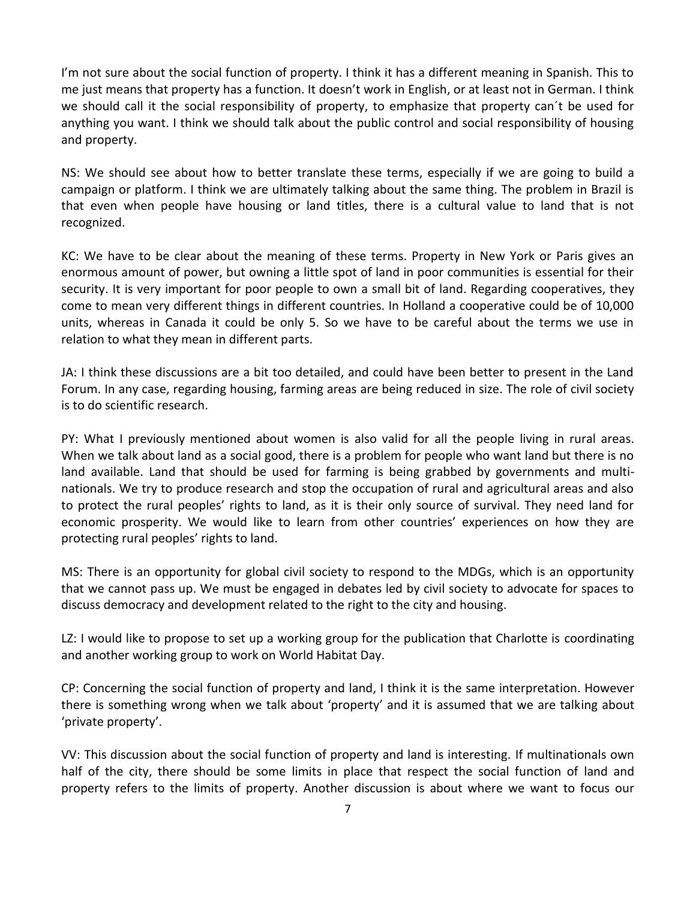I'm not sure about the social function of property. I think it has a different meaning in Spanish. This to me just means that property has a function. It doesn't work in English, or at least not in German. I think we should call it the social responsibility of property, to emphasize that property can´t be used for anything you want. I think we should talk about the public control and social responsibility of housing and property.

NS: We should see about how to better translate these terms, especially if we are going to build a campaign or platform. I think we are ultimately talking about the same thing. The problem in Brazil is that even when people have housing or land titles, there is a cultural value to land that is not recognized.

KC: We have to be clear about the meaning of these terms. Property in New York or Paris gives an enormous amount of power, but owning a little spot of land in poor communities is essential for their security. It is very important for poor people to own a small bit of land. Regarding cooperatives, they come to mean very different things in different countries. In Holland a cooperative could be of 10,000 units, whereas in Canada it could be only 5. So we have to be careful about the terms we use in relation to what they mean in different parts.

JA: I think these discussions are a bit too detailed, and could have been better to present in the Land Forum. In any case, regarding housing, farming areas are being reduced in size. The role of civil society is to do scientific research.

PY: What I previously mentioned about women is also valid for all the people living in rural areas. When we talk about land as a social good, there is a problem for people who want land but there is no land available. Land that should be used for farming is being grabbed by governments and multinationals. We try to produce research and stop the occupation of rural and agricultural areas and also to protect the rural peoples' rights to land, as it is their only source of survival. They need land for economic prosperity. We would like to learn from other countries' experiences on how they are protecting rural peoples' rights to land.

MS: There is an opportunity for global civil society to respond to the MDGs, which is an opportunity that we cannot pass up. We must be engaged in debates led by civil society to advocate for spaces to discuss democracy and development related to the right to the city and housing.

LZ: I would like to propose to set up a working group for the publication that Charlotte is coordinating and another working group to work on World Habitat Day.

CP: Concerning the social function of property and land, I think it is the same interpretation. However there is something wrong when we talk about 'property' and it is assumed that we are talking about 'private property'.

VV: This discussion about the social function of property and land is interesting. If multinationals own half of the city, there should be some limits in place that respect the social function of land and property refers to the limits of property. Another discussion is about where we want to focus our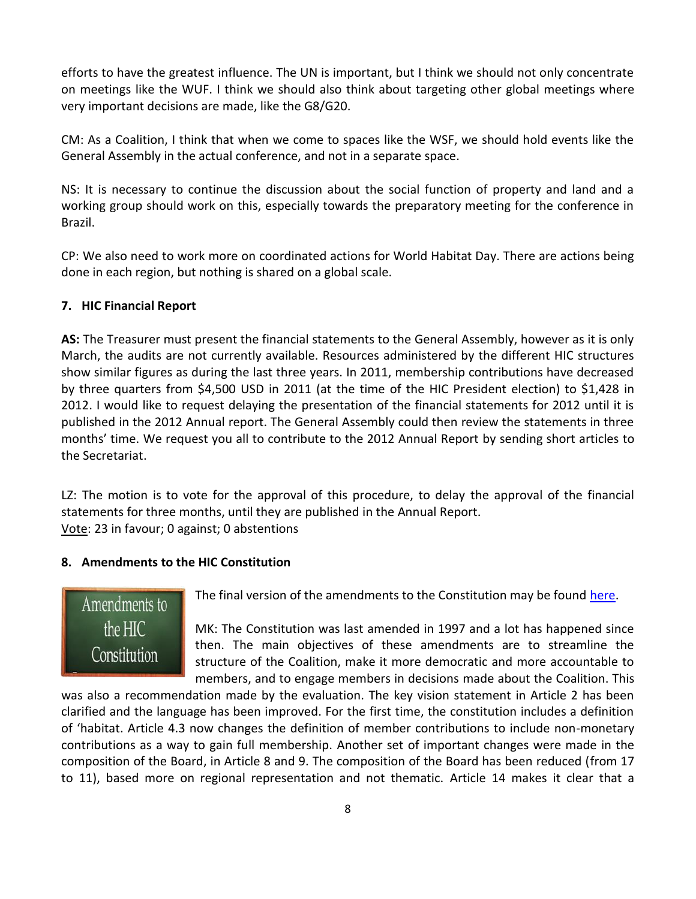efforts to have the greatest influence. The UN is important, but I think we should not only concentrate on meetings like the WUF. I think we should also think about targeting other global meetings where very important decisions are made, like the G8/G20.

CM: As a Coalition, I think that when we come to spaces like the WSF, we should hold events like the General Assembly in the actual conference, and not in a separate space.

NS: It is necessary to continue the discussion about the social function of property and land and a working group should work on this, especially towards the preparatory meeting for the conference in Brazil.

CP: We also need to work more on coordinated actions for World Habitat Day. There are actions being done in each region, but nothing is shared on a global scale.

# **7. HIC Financial Report**

**AS:** The Treasurer must present the financial statements to the General Assembly, however as it is only March, the audits are not currently available. Resources administered by the different HIC structures show similar figures as during the last three years. In 2011, membership contributions have decreased by three quarters from \$4,500 USD in 2011 (at the time of the HIC President election) to \$1,428 in 2012. I would like to request delaying the presentation of the financial statements for 2012 until it is published in the 2012 Annual report. The General Assembly could then review the statements in three months' time. We request you all to contribute to the 2012 Annual Report by sending short articles to the Secretariat.

LZ: The motion is to vote for the approval of this procedure, to delay the approval of the financial statements for three months, until they are published in the Annual Report. Vote: 23 in favour; 0 against; 0 abstentions

## **8. Amendments to the HIC Constitution**



The final version of the amendments to the Constitution may be found [here.](http://www.hic-net.org/news.php?pid=4763)

MK: The Constitution was last amended in 1997 and a lot has happened since then. The main objectives of these amendments are to streamline the structure of the Coalition, make it more democratic and more accountable to members, and to engage members in decisions made about the Coalition. This

was also a recommendation made by the evaluation. The key vision statement in Article 2 has been clarified and the language has been improved. For the first time, the constitution includes a definition of 'habitat. Article 4.3 now changes the definition of member contributions to include non-monetary contributions as a way to gain full membership. Another set of important changes were made in the composition of the Board, in Article 8 and 9. The composition of the Board has been reduced (from 17 to 11), based more on regional representation and not thematic. Article 14 makes it clear that a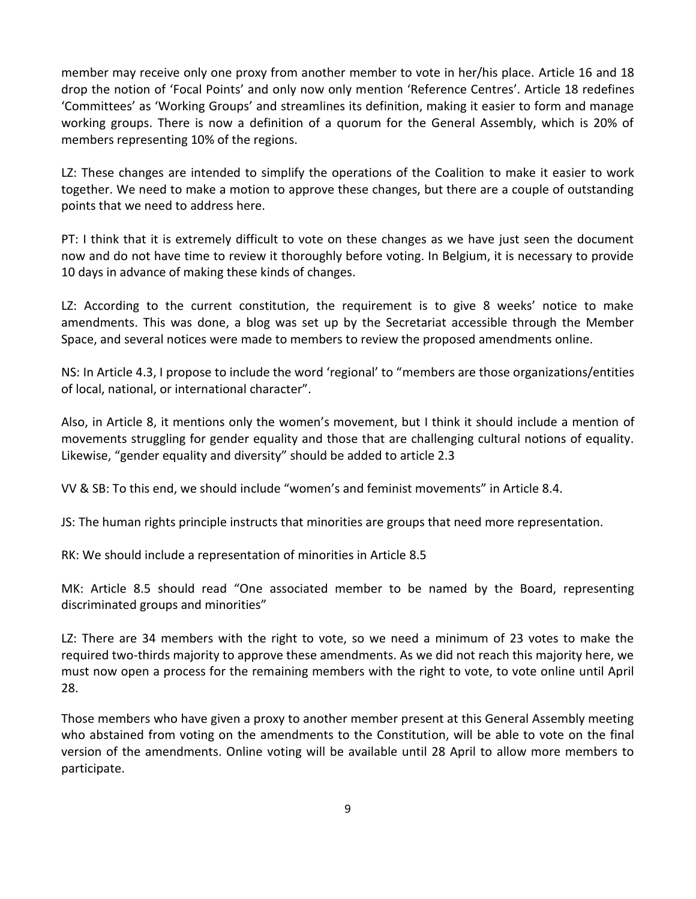member may receive only one proxy from another member to vote in her/his place. Article 16 and 18 drop the notion of 'Focal Points' and only now only mention 'Reference Centres'. Article 18 redefines 'Committees' as 'Working Groups' and streamlines its definition, making it easier to form and manage working groups. There is now a definition of a quorum for the General Assembly, which is 20% of members representing 10% of the regions.

LZ: These changes are intended to simplify the operations of the Coalition to make it easier to work together. We need to make a motion to approve these changes, but there are a couple of outstanding points that we need to address here.

PT: I think that it is extremely difficult to vote on these changes as we have just seen the document now and do not have time to review it thoroughly before voting. In Belgium, it is necessary to provide 10 days in advance of making these kinds of changes.

LZ: According to the current constitution, the requirement is to give 8 weeks' notice to make amendments. This was done, a blog was set up by the Secretariat accessible through the Member Space, and several notices were made to members to review the proposed amendments online.

NS: In Article 4.3, I propose to include the word 'regional' to "members are those organizations/entities of local, national, or international character".

Also, in Article 8, it mentions only the women's movement, but I think it should include a mention of movements struggling for gender equality and those that are challenging cultural notions of equality. Likewise, "gender equality and diversity" should be added to article 2.3

VV & SB: To this end, we should include "women's and feminist movements" in Article 8.4.

JS: The human rights principle instructs that minorities are groups that need more representation.

RK: We should include a representation of minorities in Article 8.5

MK: Article 8.5 should read "One associated member to be named by the Board, representing discriminated groups and minorities"

LZ: There are 34 members with the right to vote, so we need a minimum of 23 votes to make the required two-thirds majority to approve these amendments. As we did not reach this majority here, we must now open a process for the remaining members with the right to vote, to vote online until April 28.

Those members who have given a proxy to another member present at this General Assembly meeting who abstained from voting on the amendments to the Constitution, will be able to vote on the final version of the amendments. Online voting will be available until 28 April to allow more members to participate.